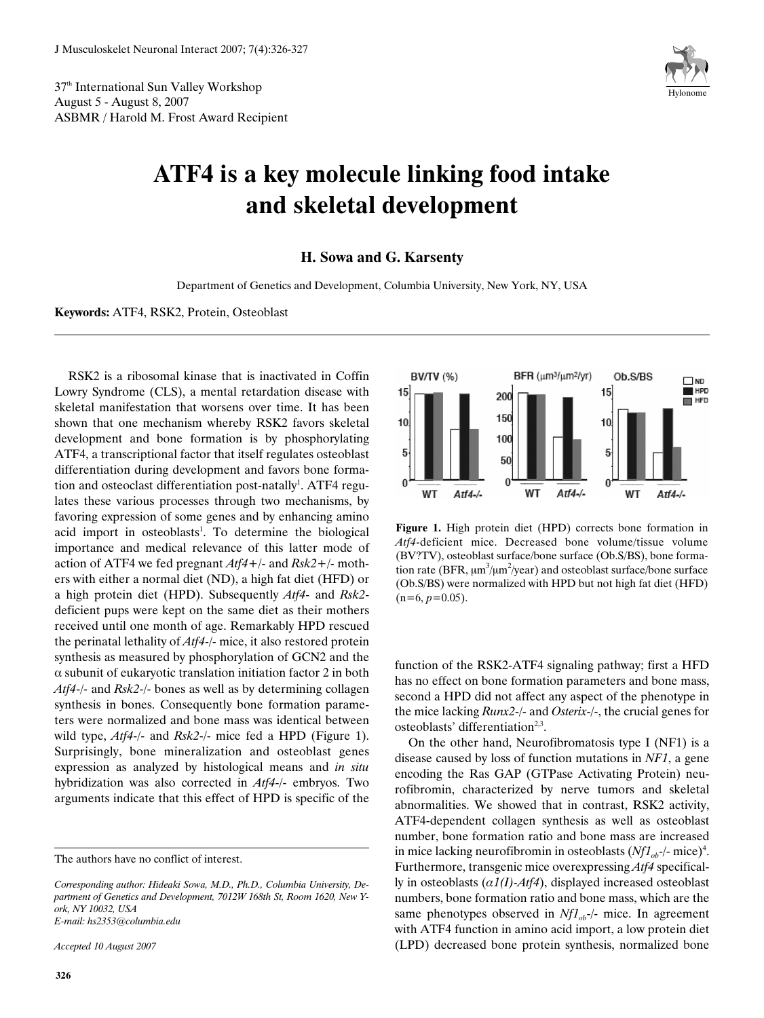37th International Sun Valley Workshop August 5 - August 8, 2007 ASBMR / Harold M. Frost Award Recipient



## **ATF4 is a key molecule linking food intake and skeletal development**

**H. Sowa and G. Karsenty**

Department of Genetics and Development, Columbia University, New York, NY, USA

**Keywords:** ATF4, RSK2, Protein, Osteoblast

RSK2 is a ribosomal kinase that is inactivated in Coffin Lowry Syndrome (CLS), a mental retardation disease with skeletal manifestation that worsens over time. It has been shown that one mechanism whereby RSK2 favors skeletal development and bone formation is by phosphorylating ATF4, a transcriptional factor that itself regulates osteoblast differentiation during development and favors bone formation and osteoclast differentiation post-natally<sup>1</sup>. ATF4 regulates these various processes through two mechanisms, by favoring expression of some genes and by enhancing amino acid import in osteoblasts<sup>1</sup>. To determine the biological importance and medical relevance of this latter mode of action of ATF4 we fed pregnant *Atf4*+/- and *Rsk2*+/- mothers with either a normal diet (ND), a high fat diet (HFD) or a high protein diet (HPD). Subsequently *Atf4*- and *Rsk2* deficient pups were kept on the same diet as their mothers received until one month of age. Remarkably HPD rescued the perinatal lethality of *Atf4*-/- mice, it also restored protein synthesis as measured by phosphorylation of GCN2 and the  $\alpha$  subunit of eukaryotic translation initiation factor 2 in both *Atf4*-/- and *Rsk2*-/- bones as well as by determining collagen synthesis in bones. Consequently bone formation parameters were normalized and bone mass was identical between wild type, *Atf4*-/- and *Rsk2*-/- mice fed a HPD (Figure 1). Surprisingly, bone mineralization and osteoblast genes expression as analyzed by histological means and *in situ* hybridization was also corrected in *Atf4*-/- embryos. Two arguments indicate that this effect of HPD is specific of the

*Accepted 10 August 2007*



**Figure 1.** High protein diet (HPD) corrects bone formation in *Atf4*-deficient mice. Decreased bone volume/tissue volume (BV?TV), osteoblast surface/bone surface (Ob.S/BS), bone formation rate (BFR,  $\mu$ m $^3/\mu$ m $^2/\gamma$ ear) and osteoblast surface/bone surface (Ob.S/BS) were normalized with HPD but not high fat diet (HFD)  $(n=6, p=0.05)$ .

function of the RSK2-ATF4 signaling pathway; first a HFD has no effect on bone formation parameters and bone mass, second a HPD did not affect any aspect of the phenotype in the mice lacking *Runx2*-/- and *Osterix*-/-, the crucial genes for osteoblasts' differentiation<sup>2,3</sup>.

On the other hand, Neurofibromatosis type I (NF1) is a disease caused by loss of function mutations in *NF1*, a gene encoding the Ras GAP (GTPase Activating Protein) neurofibromin, characterized by nerve tumors and skeletal abnormalities. We showed that in contrast, RSK2 activity, ATF4-dependent collagen synthesis as well as osteoblast number, bone formation ratio and bone mass are increased in mice lacking neurofibromin in osteoblasts  $(Nf1_{ob}$ -/- mice)<sup>4</sup>. Furthermore, transgenic mice overexpressing *Atf4* specifically in osteoblasts  $(a1(I)$ - $Atf4$ ), displayed increased osteoblast numbers, bone formation ratio and bone mass, which are the same phenotypes observed in *Nf1<sub>ob</sub>*-/- mice. In agreement with ATF4 function in amino acid import, a low protein diet (LPD) decreased bone protein synthesis, normalized bone

The authors have no conflict of interest.

*Corresponding author: Hideaki Sowa, M.D., Ph.D., Columbia University, Department of Genetics and Development, 7012W 168th St, Room 1620, New York, NY 10032, USA E-mail: hs2353@columbia.edu*